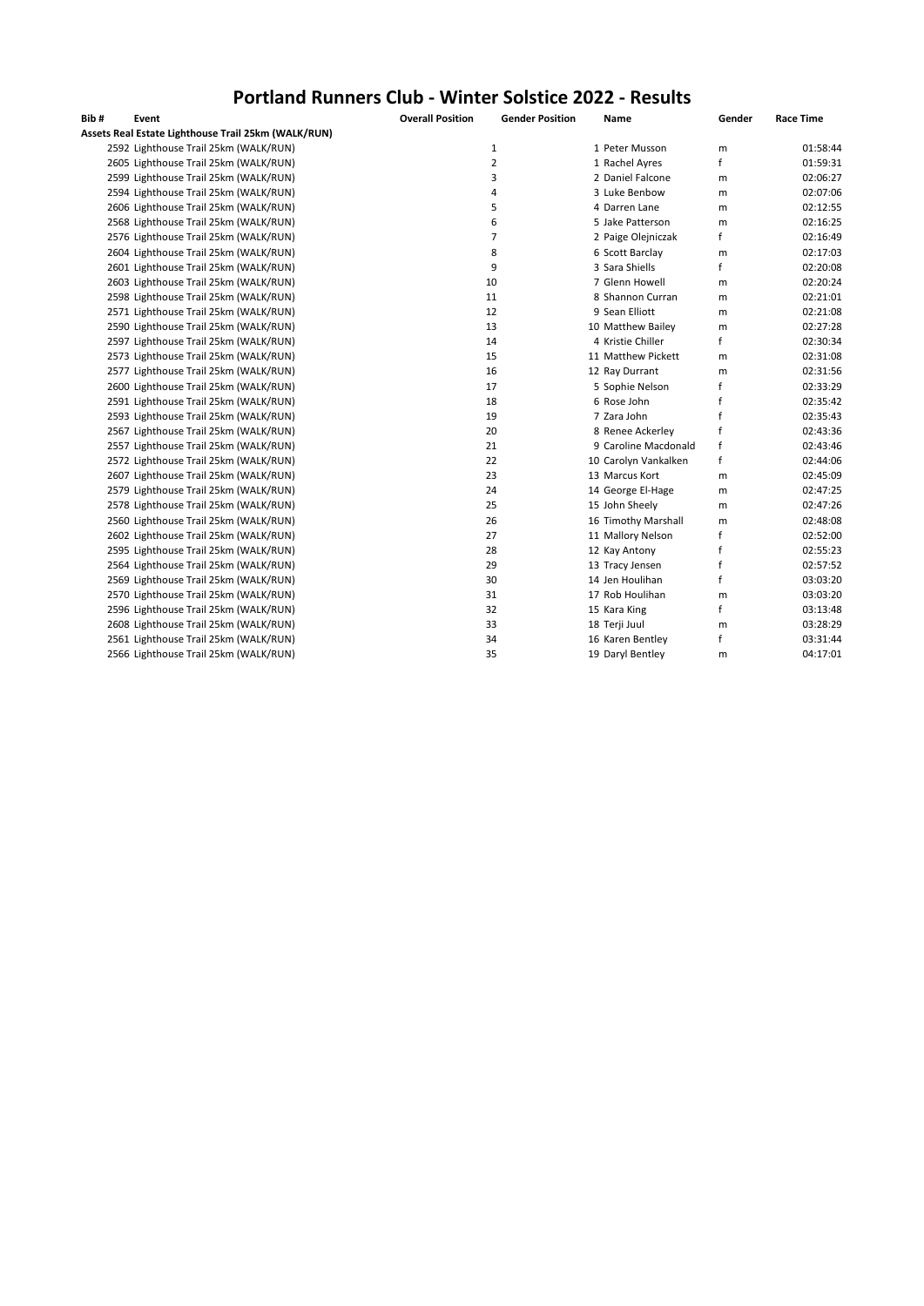## **Portland Runners Club - Winter Solstice 2022 - Results**

| Bib# | Event                                               | <b>Overall Position</b> | <b>Gender Position</b> | Name                 | Gender       | <b>Race Time</b> |
|------|-----------------------------------------------------|-------------------------|------------------------|----------------------|--------------|------------------|
|      | Assets Real Estate Lighthouse Trail 25km (WALK/RUN) |                         |                        |                      |              |                  |
|      | 2592 Lighthouse Trail 25km (WALK/RUN)               |                         | $\mathbf 1$            | 1 Peter Musson       | m            | 01:58:44         |
|      | 2605 Lighthouse Trail 25km (WALK/RUN)               |                         | $\overline{2}$         | 1 Rachel Ayres       | f            | 01:59:31         |
|      | 2599 Lighthouse Trail 25km (WALK/RUN)               |                         | 3                      | 2 Daniel Falcone     | m            | 02:06:27         |
|      | 2594 Lighthouse Trail 25km (WALK/RUN)               |                         | 4                      | 3 Luke Benbow        | m            | 02:07:06         |
|      | 2606 Lighthouse Trail 25km (WALK/RUN)               |                         | 5                      | 4 Darren Lane        | m            | 02:12:55         |
|      | 2568 Lighthouse Trail 25km (WALK/RUN)               |                         | 6                      | 5 Jake Patterson     | m            | 02:16:25         |
|      | 2576 Lighthouse Trail 25km (WALK/RUN)               |                         | $\overline{7}$         | 2 Paige Olejniczak   | f            | 02:16:49         |
|      | 2604 Lighthouse Trail 25km (WALK/RUN)               |                         | 8                      | 6 Scott Barclay      | m            | 02:17:03         |
|      | 2601 Lighthouse Trail 25km (WALK/RUN)               |                         | 9                      | 3 Sara Shiells       | $\mathsf{f}$ | 02:20:08         |
|      | 2603 Lighthouse Trail 25km (WALK/RUN)               |                         | 10                     | 7 Glenn Howell       | m            | 02:20:24         |
|      | 2598 Lighthouse Trail 25km (WALK/RUN)               |                         | 11                     | 8 Shannon Curran     | m            | 02:21:01         |
|      | 2571 Lighthouse Trail 25km (WALK/RUN)               |                         | 12                     | 9 Sean Elliott       | m            | 02:21:08         |
|      | 2590 Lighthouse Trail 25km (WALK/RUN)               |                         | 13                     | 10 Matthew Bailey    | m            | 02:27:28         |
|      | 2597 Lighthouse Trail 25km (WALK/RUN)               |                         | 14                     | 4 Kristie Chiller    | f            | 02:30:34         |
|      | 2573 Lighthouse Trail 25km (WALK/RUN)               |                         | 15                     | 11 Matthew Pickett   | m            | 02:31:08         |
|      | 2577 Lighthouse Trail 25km (WALK/RUN)               |                         | 16                     | 12 Ray Durrant       | m            | 02:31:56         |
|      | 2600 Lighthouse Trail 25km (WALK/RUN)               |                         | 17                     | 5 Sophie Nelson      | f            | 02:33:29         |
|      | 2591 Lighthouse Trail 25km (WALK/RUN)               |                         | 18                     | 6 Rose John          | f            | 02:35:42         |
|      | 2593 Lighthouse Trail 25km (WALK/RUN)               |                         | 19                     | 7 Zara John          | f            | 02:35:43         |
|      | 2567 Lighthouse Trail 25km (WALK/RUN)               |                         | 20                     | 8 Renee Ackerley     | f            | 02:43:36         |
|      | 2557 Lighthouse Trail 25km (WALK/RUN)               |                         | 21                     | 9 Caroline Macdonald | f            | 02:43:46         |
|      | 2572 Lighthouse Trail 25km (WALK/RUN)               |                         | 22                     | 10 Carolyn Vankalken | f            | 02:44:06         |
|      | 2607 Lighthouse Trail 25km (WALK/RUN)               |                         | 23                     | 13 Marcus Kort       | m            | 02:45:09         |
|      | 2579 Lighthouse Trail 25km (WALK/RUN)               |                         | 24                     | 14 George El-Hage    | m            | 02:47:25         |
|      | 2578 Lighthouse Trail 25km (WALK/RUN)               |                         | 25                     | 15 John Sheely       | m            | 02:47:26         |
|      | 2560 Lighthouse Trail 25km (WALK/RUN)               |                         | 26                     | 16 Timothy Marshall  | m            | 02:48:08         |
|      | 2602 Lighthouse Trail 25km (WALK/RUN)               |                         | 27                     | 11 Mallory Nelson    | f            | 02:52:00         |
|      | 2595 Lighthouse Trail 25km (WALK/RUN)               |                         | 28                     | 12 Kay Antony        | f            | 02:55:23         |
|      | 2564 Lighthouse Trail 25km (WALK/RUN)               |                         | 29                     | 13 Tracy Jensen      | f            | 02:57:52         |
|      | 2569 Lighthouse Trail 25km (WALK/RUN)               |                         | 30                     | 14 Jen Houlihan      | f            | 03:03:20         |
|      | 2570 Lighthouse Trail 25km (WALK/RUN)               |                         | 31                     | 17 Rob Houlihan      | m            | 03:03:20         |
|      | 2596 Lighthouse Trail 25km (WALK/RUN)               |                         | 32                     | 15 Kara King         | $\mathsf{f}$ | 03:13:48         |
|      | 2608 Lighthouse Trail 25km (WALK/RUN)               |                         | 33                     | 18 Terji Juul        | m            | 03:28:29         |
|      | 2561 Lighthouse Trail 25km (WALK/RUN)               |                         | 34                     | 16 Karen Bentley     | f            | 03:31:44         |
|      | 2566 Lighthouse Trail 25km (WALK/RUN)               |                         | 35                     | 19 Daryl Bentley     | m            | 04:17:01         |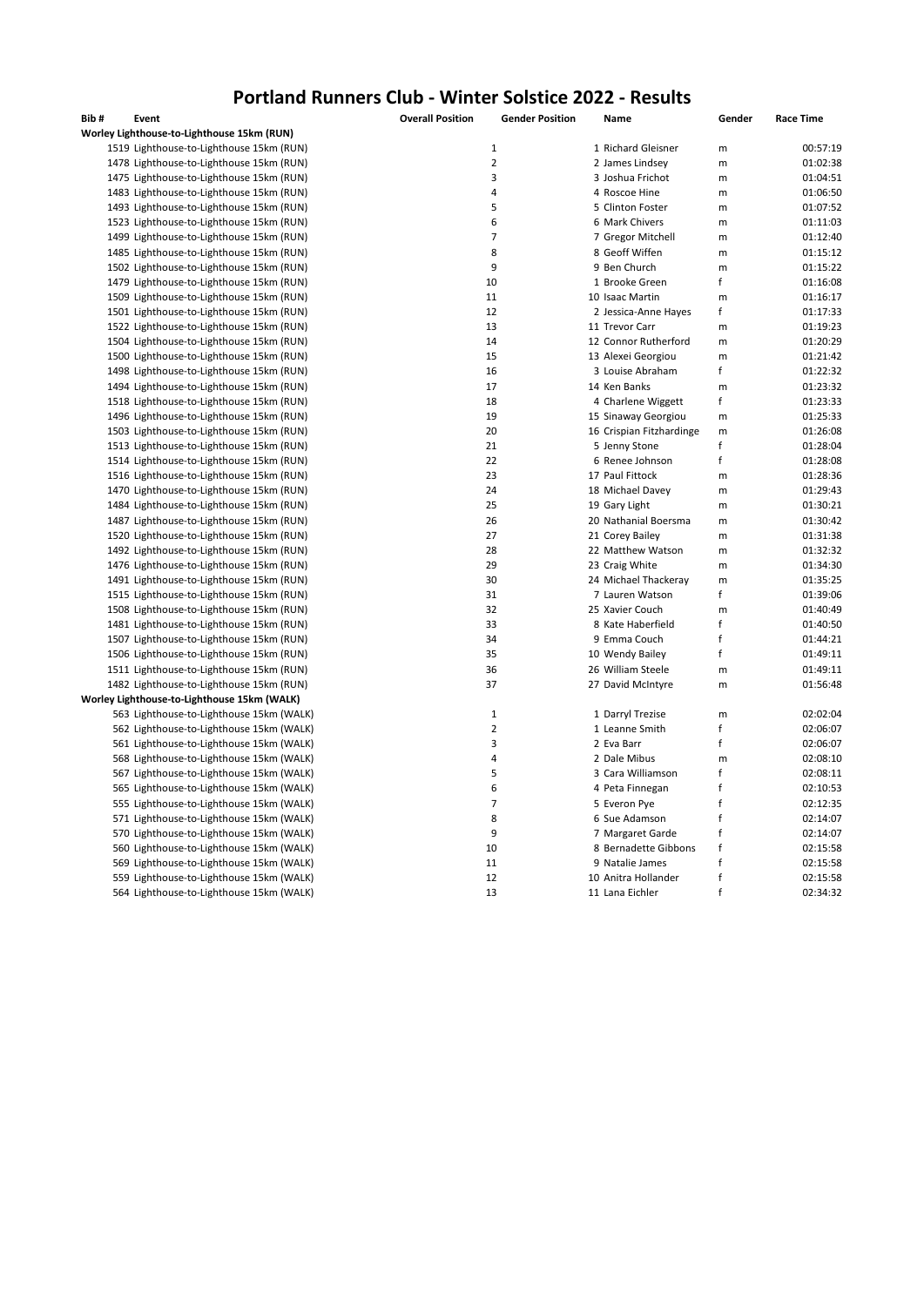## **Portland Runners Club - Winter Solstice 2022 - Results**

| Bib# | Event                                       | <b>Overall Position</b> | <b>Gender Position</b> | Name                     | Gender            | <b>Race Time</b> |
|------|---------------------------------------------|-------------------------|------------------------|--------------------------|-------------------|------------------|
|      | Worley Lighthouse-to-Lighthouse 15km (RUN)  |                         |                        |                          |                   |                  |
|      | 1519 Lighthouse-to-Lighthouse 15km (RUN)    | $\mathbf 1$             |                        | 1 Richard Gleisner       | m                 | 00:57:19         |
|      | 1478 Lighthouse-to-Lighthouse 15km (RUN)    | $\overline{2}$          |                        | 2 James Lindsey          | m                 | 01:02:38         |
|      | 1475 Lighthouse-to-Lighthouse 15km (RUN)    | 3                       |                        | 3 Joshua Frichot         | m                 | 01:04:51         |
|      | 1483 Lighthouse-to-Lighthouse 15km (RUN)    | 4                       |                        | 4 Roscoe Hine            | m                 | 01:06:50         |
|      | 1493 Lighthouse-to-Lighthouse 15km (RUN)    | 5                       |                        | 5 Clinton Foster         | m                 | 01:07:52         |
|      | 1523 Lighthouse-to-Lighthouse 15km (RUN)    | 6                       |                        | 6 Mark Chivers           | m                 | 01:11:03         |
|      | 1499 Lighthouse-to-Lighthouse 15km (RUN)    | 7                       |                        | 7 Gregor Mitchell        | m                 | 01:12:40         |
|      | 1485 Lighthouse-to-Lighthouse 15km (RUN)    | 8                       |                        | 8 Geoff Wiffen           | m                 | 01:15:12         |
|      | 1502 Lighthouse-to-Lighthouse 15km (RUN)    | 9                       |                        | 9 Ben Church             | m                 | 01:15:22         |
|      | 1479 Lighthouse-to-Lighthouse 15km (RUN)    | 10                      |                        | 1 Brooke Green           | f                 | 01:16:08         |
|      | 1509 Lighthouse-to-Lighthouse 15km (RUN)    | 11                      |                        | 10 Isaac Martin          | m                 | 01:16:17         |
|      | 1501 Lighthouse-to-Lighthouse 15km (RUN)    | 12                      |                        | 2 Jessica-Anne Hayes     | f                 | 01:17:33         |
|      | 1522 Lighthouse-to-Lighthouse 15km (RUN)    | 13                      |                        | 11 Trevor Carr           | m                 | 01:19:23         |
|      | 1504 Lighthouse-to-Lighthouse 15km (RUN)    | 14                      |                        | 12 Connor Rutherford     | m                 | 01:20:29         |
|      | 1500 Lighthouse-to-Lighthouse 15km (RUN)    | 15                      |                        | 13 Alexei Georgiou       |                   | 01:21:42         |
|      |                                             |                         |                        |                          | m<br>f            |                  |
|      | 1498 Lighthouse-to-Lighthouse 15km (RUN)    | 16                      |                        | 3 Louise Abraham         |                   | 01:22:32         |
|      | 1494 Lighthouse-to-Lighthouse 15km (RUN)    | 17                      |                        | 14 Ken Banks             | m                 | 01:23:32         |
|      | 1518 Lighthouse-to-Lighthouse 15km (RUN)    | 18                      |                        | 4 Charlene Wiggett       | f                 | 01:23:33         |
|      | 1496 Lighthouse-to-Lighthouse 15km (RUN)    | 19                      |                        | 15 Sinaway Georgiou      | m                 | 01:25:33         |
|      | 1503 Lighthouse-to-Lighthouse 15km (RUN)    | 20                      |                        | 16 Crispian Fitzhardinge | m                 | 01:26:08         |
|      | 1513 Lighthouse-to-Lighthouse 15km (RUN)    | 21                      |                        | 5 Jenny Stone            | f                 | 01:28:04         |
|      | 1514 Lighthouse-to-Lighthouse 15km (RUN)    | 22                      |                        | 6 Renee Johnson          | f                 | 01:28:08         |
|      | 1516 Lighthouse-to-Lighthouse 15km (RUN)    | 23                      |                        | 17 Paul Fittock          | m                 | 01:28:36         |
|      | 1470 Lighthouse-to-Lighthouse 15km (RUN)    | 24                      |                        | 18 Michael Davey         | m                 | 01:29:43         |
|      | 1484 Lighthouse-to-Lighthouse 15km (RUN)    | 25                      |                        | 19 Gary Light            | m                 | 01:30:21         |
|      | 1487 Lighthouse-to-Lighthouse 15km (RUN)    | 26                      |                        | 20 Nathanial Boersma     | m                 | 01:30:42         |
|      | 1520 Lighthouse-to-Lighthouse 15km (RUN)    | 27                      |                        | 21 Corey Bailey          | m                 | 01:31:38         |
|      | 1492 Lighthouse-to-Lighthouse 15km (RUN)    | 28                      |                        | 22 Matthew Watson        | m                 | 01:32:32         |
|      | 1476 Lighthouse-to-Lighthouse 15km (RUN)    | 29                      |                        | 23 Craig White           | m                 | 01:34:30         |
|      | 1491 Lighthouse-to-Lighthouse 15km (RUN)    | 30                      |                        | 24 Michael Thackeray     | m                 | 01:35:25         |
|      | 1515 Lighthouse-to-Lighthouse 15km (RUN)    | 31                      |                        | 7 Lauren Watson          | f                 | 01:39:06         |
|      | 1508 Lighthouse-to-Lighthouse 15km (RUN)    | 32                      |                        | 25 Xavier Couch          | m                 | 01:40:49         |
|      | 1481 Lighthouse-to-Lighthouse 15km (RUN)    | 33                      |                        | 8 Kate Haberfield        | f                 | 01:40:50         |
|      | 1507 Lighthouse-to-Lighthouse 15km (RUN)    | 34                      |                        | 9 Emma Couch             | $\mathsf f$       | 01:44:21         |
|      | 1506 Lighthouse-to-Lighthouse 15km (RUN)    | 35                      |                        | 10 Wendy Bailey          | f                 | 01:49:11         |
|      | 1511 Lighthouse-to-Lighthouse 15km (RUN)    | 36                      |                        | 26 William Steele        | m                 | 01:49:11         |
|      | 1482 Lighthouse-to-Lighthouse 15km (RUN)    | 37                      |                        | 27 David McIntyre        | m                 | 01:56:48         |
|      | Worley Lighthouse-to-Lighthouse 15km (WALK) |                         |                        |                          |                   |                  |
|      | 563 Lighthouse-to-Lighthouse 15km (WALK)    | $\mathbf 1$             |                        | 1 Darryl Trezise         | m                 | 02:02:04         |
|      | 562 Lighthouse-to-Lighthouse 15km (WALK)    | $\overline{2}$          |                        | 1 Leanne Smith           | f                 | 02:06:07         |
|      | 561 Lighthouse-to-Lighthouse 15km (WALK)    | 3                       |                        | 2 Eva Barr               | f                 | 02:06:07         |
|      | 568 Lighthouse-to-Lighthouse 15km (WALK)    | 4                       |                        | 2 Dale Mibus             | m                 | 02:08:10         |
|      | 567 Lighthouse-to-Lighthouse 15km (WALK)    | 5                       |                        | 3 Cara Williamson        | f                 | 02:08:11         |
|      | 565 Lighthouse-to-Lighthouse 15km (WALK)    | 6                       |                        | 4 Peta Finnegan          | f                 | 02:10:53         |
|      | 555 Lighthouse-to-Lighthouse 15km (WALK)    | 7                       |                        | 5 Everon Pye             | f                 | 02:12:35         |
|      |                                             | 8                       |                        |                          | $\mathsf f$       |                  |
|      | 571 Lighthouse-to-Lighthouse 15km (WALK)    |                         |                        | 6 Sue Adamson            |                   | 02:14:07         |
|      | 570 Lighthouse-to-Lighthouse 15km (WALK)    | 9                       |                        | 7 Margaret Garde         | f<br>$\mathsf{f}$ | 02:14:07         |
|      | 560 Lighthouse-to-Lighthouse 15km (WALK)    | 10                      |                        | 8 Bernadette Gibbons     |                   | 02:15:58         |
|      | 569 Lighthouse-to-Lighthouse 15km (WALK)    | 11                      |                        | 9 Natalie James          | f                 | 02:15:58         |
|      | 559 Lighthouse-to-Lighthouse 15km (WALK)    | 12                      |                        | 10 Anitra Hollander      | f                 | 02:15:58         |
|      | 564 Lighthouse-to-Lighthouse 15km (WALK)    | 13                      |                        | 11 Lana Eichler          | f                 | 02:34:32         |